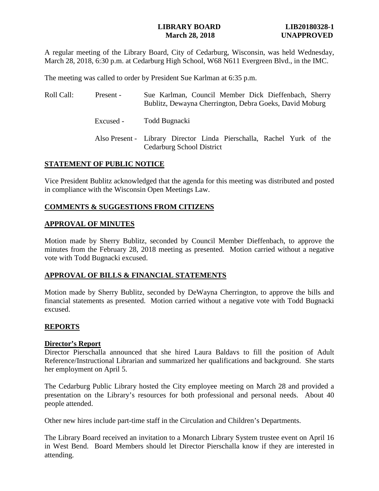## **LIBRARY BOARD LIB20180328-1 March 28, 2018 UNAPPROVED**

A regular meeting of the Library Board, City of Cedarburg, Wisconsin, was held Wednesday, March 28, 2018, 6:30 p.m. at Cedarburg High School, W68 N611 Evergreen Blvd., in the IMC.

The meeting was called to order by President Sue Karlman at 6:35 p.m.

| Roll Call: | Present - | Sue Karlman, Council Member Dick Dieffenbach, Sherry<br>Bublitz, Dewayna Cherrington, Debra Goeks, David Moburg |
|------------|-----------|-----------------------------------------------------------------------------------------------------------------|
|            | Excused - | Todd Bugnacki                                                                                                   |
|            |           | Also Present - Library Director Linda Pierschalla, Rachel Yurk of the<br>Cedarburg School District              |

## **STATEMENT OF PUBLIC NOTICE**

Vice President Bublitz acknowledged that the agenda for this meeting was distributed and posted in compliance with the Wisconsin Open Meetings Law.

## **COMMENTS & SUGGESTIONS FROM CITIZENS**

### **APPROVAL OF MINUTES**

Motion made by Sherry Bublitz, seconded by Council Member Dieffenbach, to approve the minutes from the February 28, 2018 meeting as presented. Motion carried without a negative vote with Todd Bugnacki excused.

# **APPROVAL OF BILLS & FINANCIAL STATEMENTS**

Motion made by Sherry Bublitz, seconded by DeWayna Cherrington, to approve the bills and financial statements as presented. Motion carried without a negative vote with Todd Bugnacki excused.

### **REPORTS**

### **Director's Report**

Director Pierschalla announced that she hired Laura Baldavs to fill the position of Adult Reference/Instructional Librarian and summarized her qualifications and background. She starts her employment on April 5.

The Cedarburg Public Library hosted the City employee meeting on March 28 and provided a presentation on the Library's resources for both professional and personal needs. About 40 people attended.

Other new hires include part-time staff in the Circulation and Children's Departments.

The Library Board received an invitation to a Monarch Library System trustee event on April 16 in West Bend. Board Members should let Director Pierschalla know if they are interested in attending.